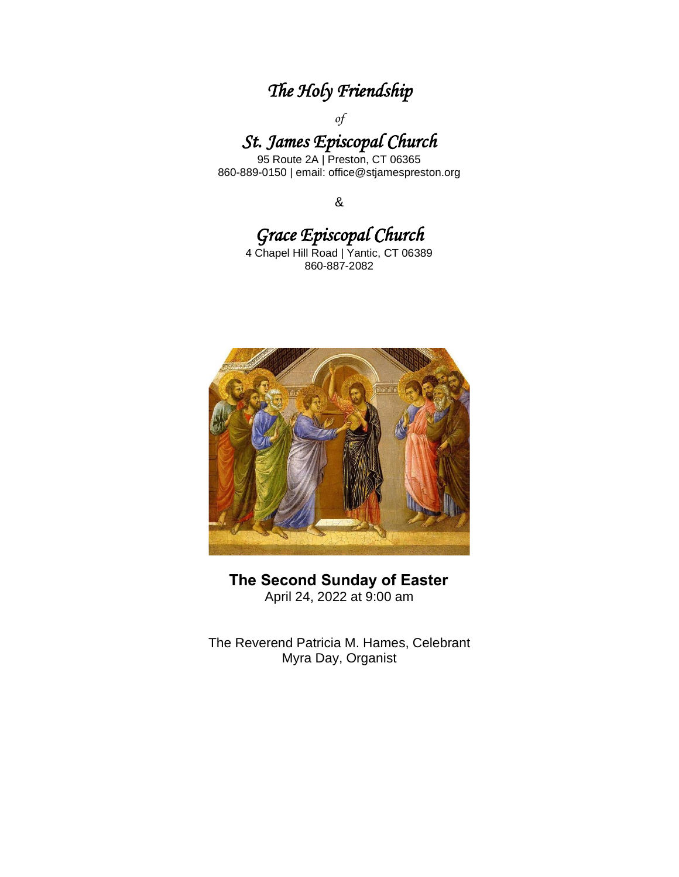## *The Holy Friendship*

## *of St. James Episcopal Church*

95 Route 2A | Preston, CT 06365 860-889-0150 | email: office@stjamespreston.org

&

# *Grace Episcopal Church*

4 Chapel Hill Road | Yantic, CT 06389 860-887-2082



**The Second Sunday of Easter** April 24, 2022 at 9:00 am

The Reverend Patricia M. Hames, Celebrant Myra Day, Organist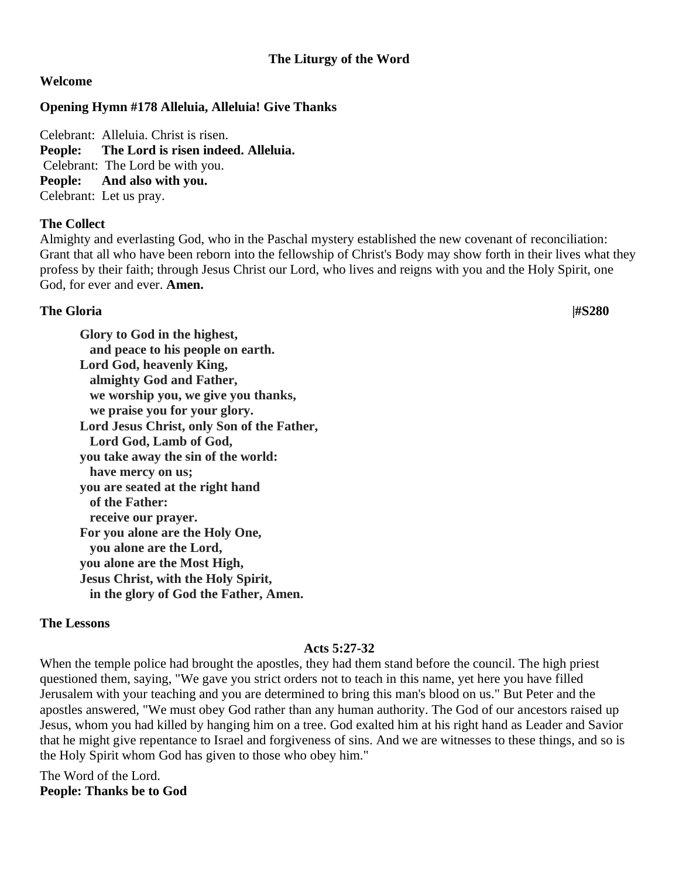#### **The Liturgy of the Word**

#### **Welcome**

#### **Opening Hymn #178 Alleluia, Alleluia! Give Thanks**

Celebrant: Alleluia. Christ is risen. **People: The Lord is risen indeed. Alleluia.** Celebrant: The Lord be with you. **People: And also with you.** Celebrant: Let us pray.

#### **The Collect**

Almighty and everlasting God, who in the Paschal mystery established the new covenant of reconciliation: Grant that all who have been reborn into the fellowship of Christ's Body may show forth in their lives what they profess by their faith; through Jesus Christ our Lord, who lives and reigns with you and the Holy Spirit, one God, for ever and ever. **Amen.**

#### **The Gloria |#S280**

**Glory to God in the highest, and peace to his people on earth. Lord God, heavenly King, almighty God and Father, we worship you, we give you thanks, we praise you for your glory. Lord Jesus Christ, only Son of the Father, Lord God, Lamb of God, you take away the sin of the world: have mercy on us; you are seated at the right hand of the Father: receive our prayer. For you alone are the Holy One, you alone are the Lord, you alone are the Most High, Jesus Christ, with the Holy Spirit, in the glory of God the Father, Amen.**

#### **The Lessons**

#### **Acts 5:27-32**

When the temple police had brought the apostles, they had them stand before the council. The high priest questioned them, saying, "We gave you strict orders not to teach in this name, yet here you have filled Jerusalem with your teaching and you are determined to bring this man's blood on us." But Peter and the apostles answered, "We must obey God rather than any human authority. The God of our ancestors raised up Jesus, whom you had killed by hanging him on a tree. God exalted him at his right hand as Leader and Savior that he might give repentance to Israel and forgiveness of sins. And we are witnesses to these things, and so is the Holy Spirit whom God has given to those who obey him."

The Word of the Lord. **People: Thanks be to God**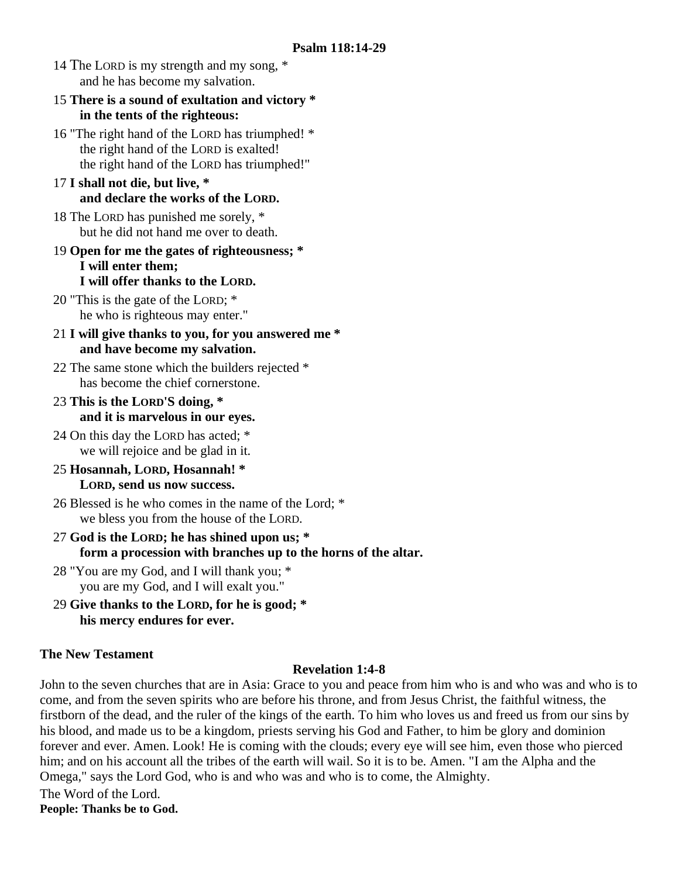- 14 The LORD is my strength and my song, \* and he has become my salvation.
- 15 **There is a sound of exultation and victory \* in the tents of the righteous:**
- 16 "The right hand of the LORD has triumphed! \* the right hand of the LORD is exalted! the right hand of the LORD has triumphed!"
- 17 **I shall not die, but live, \* and declare the works of the LORD.**
- 18 The LORD has punished me sorely, \* but he did not hand me over to death.
- 19 **Open for me the gates of righteousness; \* I will enter them; I will offer thanks to the LORD.**
- 20 "This is the gate of the LORD; \* he who is righteous may enter."
- 21 **I will give thanks to you, for you answered me \* and have become my salvation.**
- 22 The same stone which the builders rejected \* has become the chief cornerstone.
- 23 **This is the LORD'S doing, \* and it is marvelous in our eyes.**
- 24 On this day the LORD has acted; \* we will rejoice and be glad in it.
- 25 **Hosannah, LORD, Hosannah! \* LORD, send us now success.**
- 26 Blessed is he who comes in the name of the Lord; \* we bless you from the house of the LORD.
- 27 **God is the LORD; he has shined upon us; \* form a procession with branches up to the horns of the altar.**
- 28 "You are my God, and I will thank you; \* you are my God, and I will exalt you."
- 29 **Give thanks to the LORD, for he is good; \* his mercy endures for ever.**

### **The New Testament**

#### **Revelation 1:4-8**

John to the seven churches that are in Asia: Grace to you and peace from him who is and who was and who is to come, and from the seven spirits who are before his throne, and from Jesus Christ, the faithful witness, the firstborn of the dead, and the ruler of the kings of the earth. To him who loves us and freed us from our sins by his blood, and made us to be a kingdom, priests serving his God and Father, to him be glory and dominion forever and ever. Amen. Look! He is coming with the clouds; every eye will see him, even those who pierced him; and on his account all the tribes of the earth will wail. So it is to be. Amen. "I am the Alpha and the Omega," says the Lord God, who is and who was and who is to come, the Almighty.

The Word of the Lord. **People: Thanks be to God.**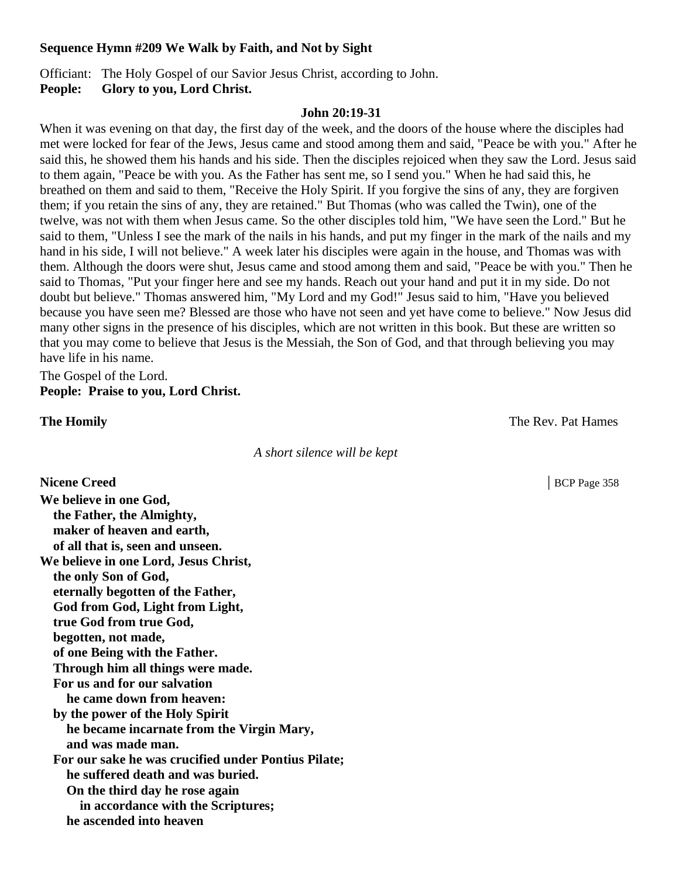#### **Sequence Hymn #209 We Walk by Faith, and Not by Sight**

#### Officiant: The Holy Gospel of our Savior Jesus Christ, according to John. **People: Glory to you, Lord Christ.**

#### **John 20:19-31**

When it was evening on that day, the first day of the week, and the doors of the house where the disciples had met were locked for fear of the Jews, Jesus came and stood among them and said, "Peace be with you." After he said this, he showed them his hands and his side. Then the disciples rejoiced when they saw the Lord. Jesus said to them again, "Peace be with you. As the Father has sent me, so I send you." When he had said this, he breathed on them and said to them, "Receive the Holy Spirit. If you forgive the sins of any, they are forgiven them; if you retain the sins of any, they are retained." But Thomas (who was called the Twin), one of the twelve, was not with them when Jesus came. So the other disciples told him, "We have seen the Lord." But he said to them, "Unless I see the mark of the nails in his hands, and put my finger in the mark of the nails and my hand in his side, I will not believe." A week later his disciples were again in the house, and Thomas was with them. Although the doors were shut, Jesus came and stood among them and said, "Peace be with you." Then he said to Thomas, "Put your finger here and see my hands. Reach out your hand and put it in my side. Do not doubt but believe." Thomas answered him, "My Lord and my God!" Jesus said to him, "Have you believed because you have seen me? Blessed are those who have not seen and yet have come to believe." Now Jesus did many other signs in the presence of his disciples, which are not written in this book. But these are written so that you may come to believe that Jesus is the Messiah, the Son of God, and that through believing you may have life in his name.

#### The Gospel of the Lord. **People: Praise to you, Lord Christ.**

*A short silence will be kept*

**Nicene Creed**| BCP Page 358 **We believe in one God, the Father, the Almighty, maker of heaven and earth, of all that is, seen and unseen. We believe in one Lord, Jesus Christ, the only Son of God, eternally begotten of the Father, God from God, Light from Light, true God from true God, begotten, not made, of one Being with the Father. Through him all things were made. For us and for our salvation he came down from heaven: by the power of the Holy Spirit he became incarnate from the Virgin Mary, and was made man. For our sake he was crucified under Pontius Pilate; he suffered death and was buried. On the third day he rose again in accordance with the Scriptures; he ascended into heaven**

**The Homily The Rev. Pat Hames The Rev. Pat Hames**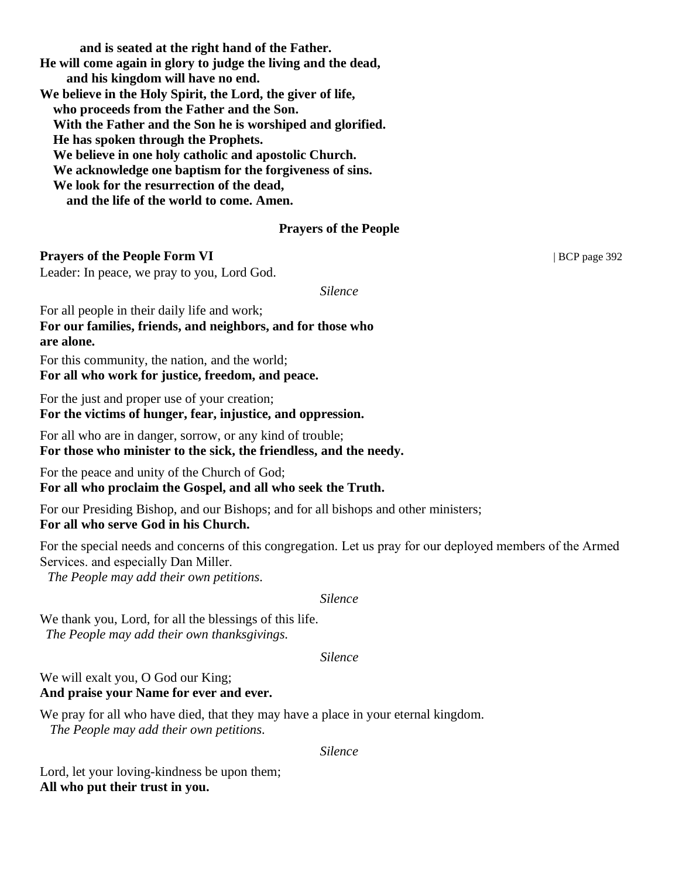**and is seated at the right hand of the Father. He will come again in glory to judge the living and the dead, and his kingdom will have no end. We believe in the Holy Spirit, the Lord, the giver of life, who proceeds from the Father and the Son. With the Father and the Son he is worshiped and glorified. He has spoken through the Prophets. We believe in one holy catholic and apostolic Church. We acknowledge one baptism for the forgiveness of sins. We look for the resurrection of the dead, and the life of the world to come. Amen.**

#### **Prayers of the People**

**Prayers of the People Form VI** | BCP page 392 Leader: In peace, we pray to you, Lord God.

*Silence*

For all people in their daily life and work; **For our families, friends, and neighbors, and for those who are alone.**

For this community, the nation, and the world; **For all who work for justice, freedom, and peace.**

For the just and proper use of your creation; **For the victims of hunger, fear, injustice, and oppression.**

For all who are in danger, sorrow, or any kind of trouble; **For those who minister to the sick, the friendless, and the needy.**

For the peace and unity of the Church of God; **For all who proclaim the Gospel, and all who seek the Truth.**

For our Presiding Bishop, and our Bishops; and for all bishops and other ministers; **For all who serve God in his Church.**

For the special needs and concerns of this congregation. Let us pray for our deployed members of the Armed Services. and especially Dan Miller.

*The People may add their own petitions.*

#### *Silence*

We thank you, Lord, for all the blessings of this life.  *The People may add their own thanksgivings.*

#### *Silence*

We will exalt you, O God our King: **And praise your Name for ever and ever.**

We pray for all who have died, that they may have a place in your eternal kingdom. *The People may add their own petitions.*

*Silence*

Lord, let your loving-kindness be upon them; **All who put their trust in you.**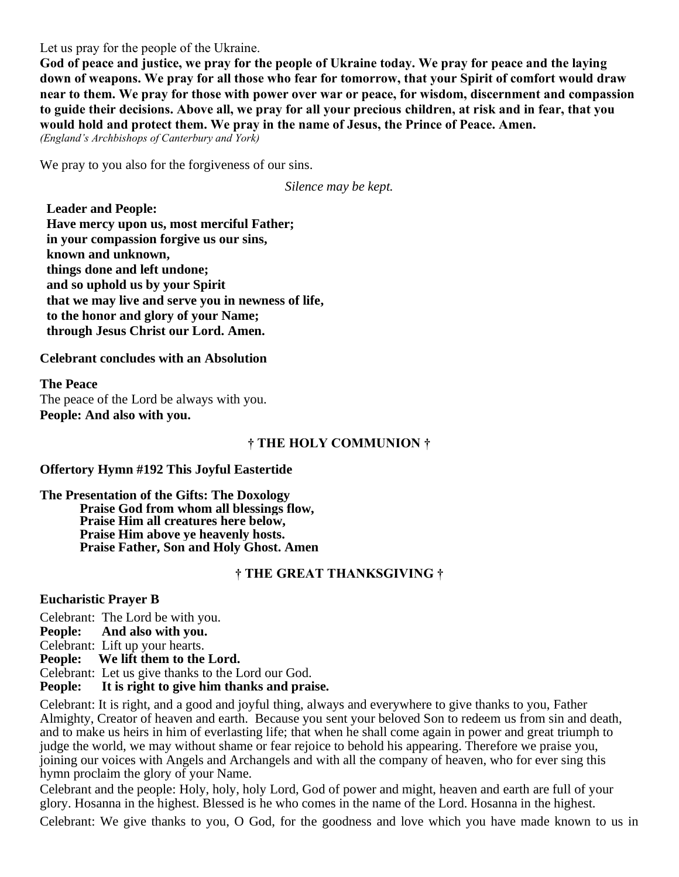Let us pray for the people of the Ukraine.

**God of peace and justice, we pray for the people of Ukraine today. We pray for peace and the laying down of weapons. We pray for all those who fear for tomorrow, that your Spirit of comfort would draw near to them. We pray for those with power over war or peace, for wisdom, discernment and compassion to guide their decisions. Above all, we pray for all your precious children, at risk and in fear, that you would hold and protect them. We pray in the name of Jesus, the Prince of Peace. Amen.** 

*(England's Archbishops of Canterbury and York)*

We pray to you also for the forgiveness of our sins.

*Silence may be kept.*

**Leader and People: Have mercy upon us, most merciful Father; in your compassion forgive us our sins, known and unknown, things done and left undone; and so uphold us by your Spirit that we may live and serve you in newness of life, to the honor and glory of your Name; through Jesus Christ our Lord. Amen.**

**Celebrant concludes with an Absolution**

**The Peace** The peace of the Lord be always with you. **People: And also with you.**

#### **† THE HOLY COMMUNION †**

#### **Offertory Hymn #192 This Joyful Eastertide**

**The Presentation of the Gifts: The Doxology Praise God from whom all blessings flow, Praise Him all creatures here below, Praise Him above ye heavenly hosts. Praise Father, Son and Holy Ghost. Amen** 

#### **† THE GREAT THANKSGIVING †**

#### **Eucharistic Prayer B**

Celebrant: The Lord be with you. **People: And also with you.** Celebrant: Lift up your hearts. **People: We lift them to the Lord.** Celebrant: Let us give thanks to the Lord our God. **People: It is right to give him thanks and praise.**

Celebrant: It is right, and a good and joyful thing, always and everywhere to give thanks to you, Father Almighty, Creator of heaven and earth. Because you sent your beloved Son to redeem us from sin and death, and to make us heirs in him of everlasting life; that when he shall come again in power and great triumph to judge the world, we may without shame or fear rejoice to behold his appearing. Therefore we praise you, joining our voices with Angels and Archangels and with all the company of heaven, who for ever sing this hymn proclaim the glory of your Name.

Celebrant and the people: Holy, holy, holy Lord, God of power and might, heaven and earth are full of your glory. Hosanna in the highest. Blessed is he who comes in the name of the Lord. Hosanna in the highest.

Celebrant: We give thanks to you, O God, for the goodness and love which you have made known to us in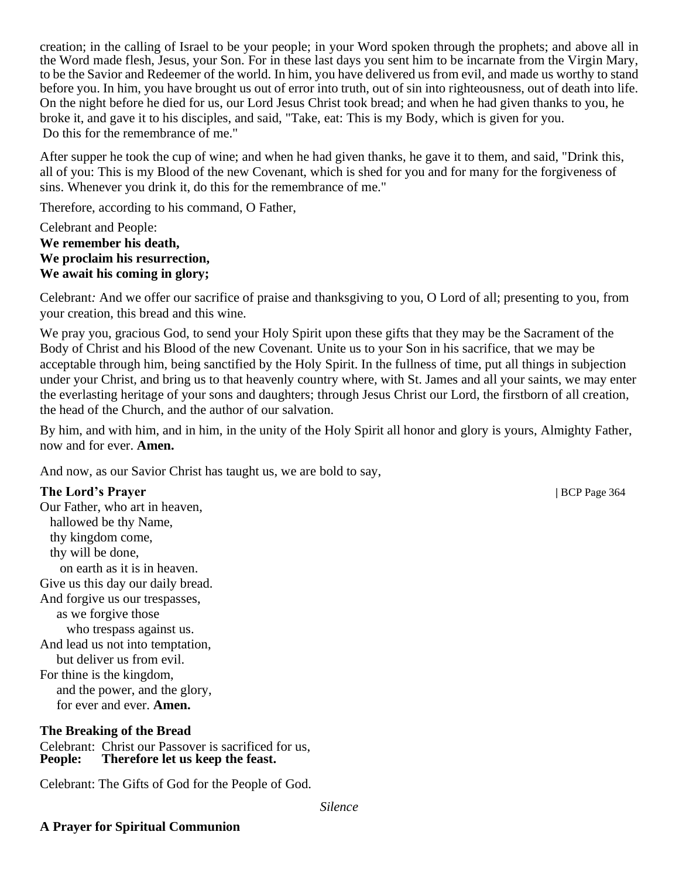creation; in the calling of Israel to be your people; in your Word spoken through the prophets; and above all in the Word made flesh, Jesus, your Son. For in these last days you sent him to be incarnate from the Virgin Mary, to be the Savior and Redeemer of the world. In him, you have delivered us from evil, and made us worthy to stand before you. In him, you have brought us out of error into truth, out of sin into righteousness, out of death into life. On the night before he died for us, our Lord Jesus Christ took bread; and when he had given thanks to you, he broke it, and gave it to his disciples, and said, "Take, eat: This is my Body, which is given for you. Do this for the remembrance of me."

After supper he took the cup of wine; and when he had given thanks, he gave it to them, and said, "Drink this, all of you: This is my Blood of the new Covenant, which is shed for you and for many for the forgiveness of sins. Whenever you drink it, do this for the remembrance of me."

Therefore, according to his command, O Father,

Celebrant and People: **We remember his death, We proclaim his resurrection, We await his coming in glory;**

Celebrant*:* And we offer our sacrifice of praise and thanksgiving to you, O Lord of all; presenting to you, from your creation, this bread and this wine.

We pray you, gracious God, to send your Holy Spirit upon these gifts that they may be the Sacrament of the Body of Christ and his Blood of the new Covenant. Unite us to your Son in his sacrifice, that we may be acceptable through him, being sanctified by the Holy Spirit. In the fullness of time, put all things in subjection under your Christ, and bring us to that heavenly country where, with St. James and all your saints, we may enter the everlasting heritage of your sons and daughters; through Jesus Christ our Lord, the firstborn of all creation, the head of the Church, and the author of our salvation.

By him, and with him, and in him, in the unity of the Holy Spirit all honor and glory is yours, Almighty Father, now and for ever. **Amen.**

And now, as our Savior Christ has taught us, we are bold to say,

#### **The Lord's Prayer Properties All 2009 12:00 Page 364 PDF Page 364 PDF Page 364**

Our Father, who art in heaven, hallowed be thy Name, thy kingdom come, thy will be done, on earth as it is in heaven. Give us this day our daily bread. And forgive us our trespasses, as we forgive those who trespass against us. And lead us not into temptation, but deliver us from evil. For thine is the kingdom, and the power, and the glory, for ever and ever. **Amen.**

#### **The Breaking of the Bread**

Celebrant:Christ our Passover is sacrificed for us, **People: Therefore let us keep the feast.**

Celebrant: The Gifts of God for the People of God.

*Silence*